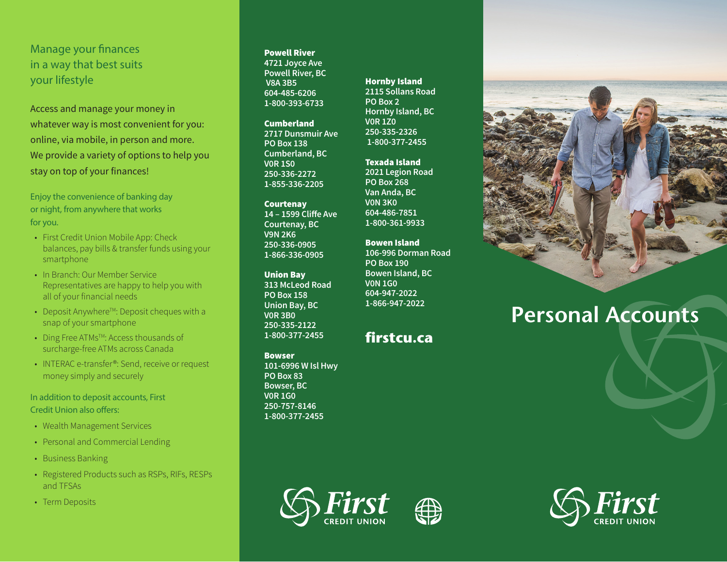# Manage your finances in a way that best suits your lifestyle

Access and manage your money in whatever way is most convenient for you: online, via mobile, in person and more. We provide a variety of options to help you stay on top of your finances!

Enjoy the convenience of banking day or night, from anywhere that works for you.

- First Credit Union Mobile App: Check balances, pay bills & transfer funds using your smartphone
- In Branch: Our Member Service Representatives are happy to help you with all of your financial needs
- Deposit Anywhere<sup>TM</sup>: Deposit cheques with a snap of your smartphone
- Ding Free ATMs<sup>TM</sup>: Access thousands of surcharge-free ATMs across Canada
- INTERAC e-transfer<sup>®</sup>: Send, receive or request money simply and securely

In addition to deposit accounts, First Credit Union also offers:

- Wealth Management Services
- Personal and Commercial Lending
- Business Banking
- Registered Products such as RSPs, RIFs, RESPs and TFSAs
- Term Deposits

#### Powell River

**4721 Joyce Ave Powell River, BC V8A 3B5 604-485-6206 1-800-393-6733**

**Cumberland 2717 Dunsmuir Ave PO Box 138 Cumberland, BC V0R 1S0 250-336-2272 1-855-336-2205**

**Courtenav 14 – 1599 Cliffe Ave Courtenay, BC V9N 2K6 250-336-0905 1-866-336-0905**

Union Bay **313 McLeod Road PO Box 158 Union Bay, BC V0R 3B0 250-335-2122 1-800-377-2455**

#### Bowser **101-6996 W Isl Hwy**

**PO Box 83 Bowser, BC V0R 1G0 250-757-8146 1-800-377-2455** Hornby Island **2115 Sollans Road PO Box 2 Hornby Island, BC V0R 1Z0 250-335-2326 1-800-377-2455**

### Texada Island

**2021 Legion Road PO Box 268 Van Anda, BC V0N 3K0 604-486-7851 1-800-361-9933**

Bowen Island

**106-996 Dorman Road PO Box 190 Bowen Island, BC V0N 1G0 604-947-2022 1-866-947-2022**

## **firstcu.ca**

# **Personal Accounts**